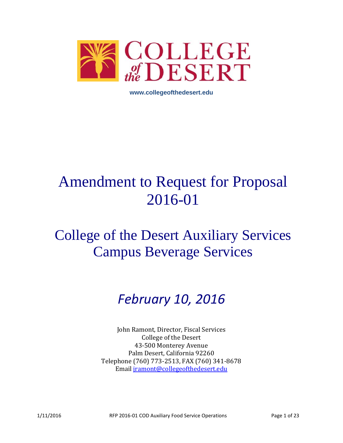

**www.collegeofthedesert.edu**

# Amendment to Request for Proposal 2016-01

# College of the Desert Auxiliary Services Campus Beverage Services

# *February 10, 2016*

John Ramont, Director, Fiscal Services College of the Desert 43-500 Monterey Avenue Palm Desert, California 92260 Telephone (760) 773-2513, FAX (760) 341-8678 Email [jramont@collegeofthedesert.edu](mailto:jramont@collegeofthedesert.edu)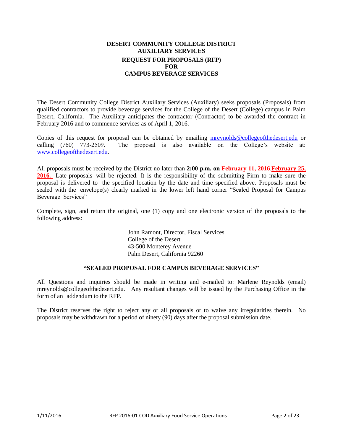# **DESERT COMMUNITY COLLEGE DISTRICT AUXILIARY SERVICES REQUEST FOR PROPOSALS (RFP) FOR CAMPUS BEVERAGE SERVICES**

The Desert Community College District Auxiliary Services (Auxiliary) seeks proposals (Proposals) from qualified contractors to provide beverage services for the College of the Desert (College) campus in Palm Desert, California. The Auxiliary anticipates the contractor (Contractor) to be awarded the contract in February 2016 and to commence services as of April 1, 2016.

Copies of this request for proposal can be obtained by emailing [mreynolds@collegeofthedesert.edu](mailto:mreynolds@collegeofthedesert.edu) or calling (760) 773-2509. The proposal is also available on the College's website at: [www.collegeofthedesert.edu.](http://www.collegeofthedesert.edu/)

All proposals must be received by the District no later than **2:00 p.m. on February 11, 2016**.**February 25, 2016.** Late proposals will be rejected. It is the responsibility of the submitting Firm to make sure the proposal is delivered to the specified location by the date and time specified above. Proposals must be sealed with the envelope(s) clearly marked in the lower left hand corner "Sealed Proposal for Campus Beverage Services"

Complete, sign, and return the original, one (1) copy and one electronic version of the proposals to the following address:

> John Ramont, Director, Fiscal Services College of the Desert 43-500 Monterey Avenue Palm Desert, California 92260

# **"SEALED PROPOSAL FOR CAMPUS BEVERAGE SERVICES"**

All Questions and inquiries should be made in writing and e-mailed to: Marlene Reynolds (email[\)](mailto:majd.askar@rccd.edu) mreynolds@collegeofthedesert.edu. Any resultant changes will be issued by the Purchasing Office in the form of an addendum to the RFP.

The District reserves the right to reject any or all proposals or to waive any irregularities therein. No proposals may be withdrawn for a period of ninety (90) days after the proposal submission date.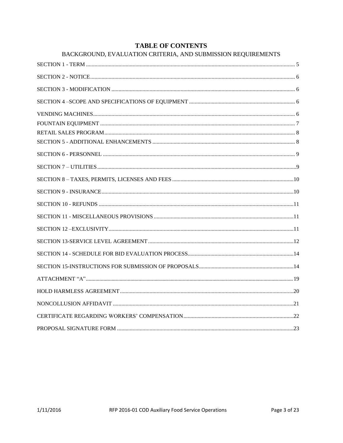# **TABLE OF CONTENTS**

| BACKGROUND, EVALUATION CRITERIA, AND SUBMISSION REQUIREMENTS |  |
|--------------------------------------------------------------|--|
|                                                              |  |
|                                                              |  |
|                                                              |  |
|                                                              |  |
|                                                              |  |
|                                                              |  |
|                                                              |  |
|                                                              |  |
|                                                              |  |
|                                                              |  |
|                                                              |  |
|                                                              |  |
|                                                              |  |
|                                                              |  |
|                                                              |  |
|                                                              |  |
|                                                              |  |
|                                                              |  |
|                                                              |  |
|                                                              |  |
|                                                              |  |
|                                                              |  |
|                                                              |  |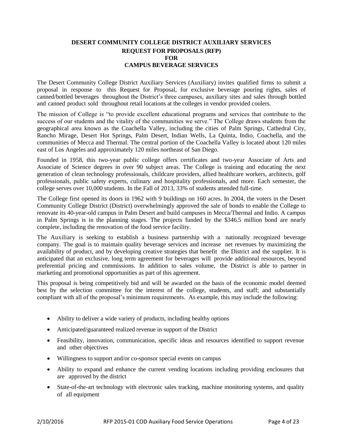# **DESERT COMMUNITY COLLEGE DISTRICT AUXILIARY SERVICES REQUEST FOR PROPOSALS (RFP) FOR CAMPUS BEVERAGE SERVICES**

The Desert Community College District Auxiliary Services (Auxiliary) invites qualified firms to submit a proposal in response to this Request for Proposal, for exclusive beverage pouring rights, sales of canned/bottled beverages throughout the District's three campuses, auxiliary sites and sales through bottled and canned product sold throughout retail locations at the colleges in vendor provided coolers.

The mission of College is "to provide excellent educational programs and services that contribute to the success of our students and the vitality of the communities we serve." The College draws students from the geographical area known as the Coachella Valley, including the cities of Palm Springs, Cathedral City, Rancho Mirage, Desert Hot Springs, Palm Desert, Indian Wells, La Quinta, Indio, Coachella, and the communities of Mecca and Thermal. The central portion of the Coachella Valley is located about 120 miles east of Los Angeles and approximately 120 miles northeast of San Diego.

Founded in 1958, this two-year public college offers certificates and two-year Associate of Arts and Associate of Science degrees in over 90 subject areas. The College is training and educating the next generation of clean technology professionals, childcare providers, allied healthcare workers, architects, golf professionals, public safety experts, culinary and hospitality professionals, and more. Each semester, the college serves over 10,000 students. In the Fall of 2013, 33% of students attended full-time.

The College first opened its doors in 1962 with 9 buildings on 160 acres. In 2004, the voters in the Desert Community College District (District) overwhelmingly approved the sale of bonds to enable the College to renovate its 40-year-old campus in Palm Desert and build campuses in Mecca/Thermal and Indio. A campus in Palm Springs is in the planning stages. The projects funded by the \$346.5 million bond are nearly complete, including the renovation of the food service facility.

The Auxiliary is seeking to establish a business partnership with a nationally recognized beverage company. The goal is to maintain quality beverage services and increase net revenues by maximizing the availability of product, and by developing creative strategies that benefit the District and the supplier. It is anticipated that an exclusive, long term agreement for beverages will provide additional resources, beyond preferential pricing and commissions. In addition to sales volume, the District is able to partner in marketing and promotional opportunities as part of this agreement.

This proposal is being competitively bid and will be awarded on the basis of the economic model deemed best by the selection committee for the interest of the college, students, and staff; and substantially compliant with all of the proposal's minimum requirements. As example, this may include the following:

- Ability to deliver a wide variety of products, including healthy options
- Anticipated/guaranteed realized revenue in support of the District
- Feasibility, innovation, communication, specific ideas and resources identified to support revenue and other objectives
- Willingness to support and/or co-sponsor special events on campus
- Ability to expand and enhance the current vending locations including providing enclosures that are approved by the district
- State-of-the-art technology with electronic sales tracking, machine monitoring systems, and quality of all equipment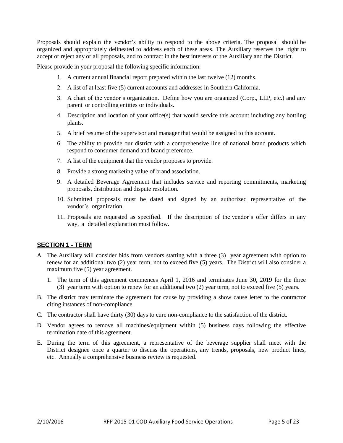Proposals should explain the vendor's ability to respond to the above criteria. The proposal should be organized and appropriately delineated to address each of these areas. The Auxiliary reserves the right to accept or reject any or all proposals, and to contract in the best interests of the Auxiliary and the District.

Please provide in your proposal the following specific information:

- 1. A current annual financial report prepared within the last twelve (12) months.
- 2. A list of at least five (5) current accounts and addresses in Southern California.
- 3. A chart of the vendor's organization. Define how you are organized (Corp., LLP, etc.) and any parent or controlling entities or individuals.
- 4. Description and location of your office(s) that would service this account including any bottling plants.
- 5. A brief resume of the supervisor and manager that would be assigned to this account.
- 6. The ability to provide our district with a comprehensive line of national brand products which respond to consumer demand and brand preference.
- 7. A list of the equipment that the vendor proposes to provide.
- 8. Provide a strong marketing value of brand association.
- 9. A detailed Beverage Agreement that includes service and reporting commitments, marketing proposals, distribution and dispute resolution.
- 10. Submitted proposals must be dated and signed by an authorized representative of the vendor's organization.
- 11. Proposals are requested as specified. If the description of the vendor's offer differs in any way, a detailed explanation must follow.

# <span id="page-4-0"></span>**SECTION 1 - TERM**

- A. The Auxiliary will consider bids from vendors starting with a three (3) year agreement with option to renew for an additional two (2) year term, not to exceed five (5) years. The District will also consider a maximum five  $(5)$  year agreement.
	- 1. The term of this agreement commences April 1, 2016 and terminates June 30, 2019 for the three (3) year term with option to renew for an additional two (2) year term, not to exceed five (5) years.
- B. The district may terminate the agreement for cause by providing a show cause letter to the contractor citing instances of non-compliance.
- C. The contractor shall have thirty (30) days to cure non-compliance to the satisfaction of the district.
- D. Vendor agrees to remove all machines/equipment within (5) business days following the effective termination date of this agreement.
- <span id="page-4-1"></span>E. During the term of this agreement, a representative of the beverage supplier shall meet with the District designee once a quarter to discuss the operations, any trends, proposals, new product lines, etc. Annually a comprehensive business review is requested.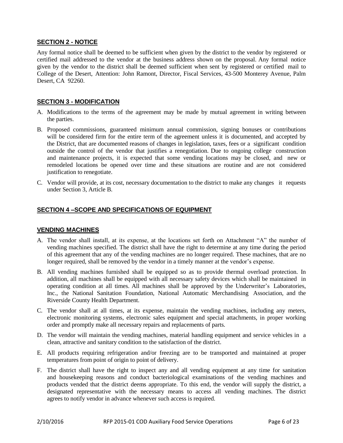# **SECTION 2 - NOTICE**

Any formal notice shall be deemed to be sufficient when given by the district to the vendor by registered or certified mail addressed to the vendor at the business address shown on the proposal. Any formal notice given by the vendor to the district shall be deemed sufficient when sent by registered or certified mail to College of the Desert, Attention: John Ramont, Director, Fiscal Services, 43-500 Monterey Avenue, Palm Desert, CA 92260.

# <span id="page-5-0"></span>**SECTION 3 - MODIFICATION**

- A. Modifications to the terms of the agreement may be made by mutual agreement in writing between the parties.
- B. Proposed commissions, guaranteed minimum annual commission, signing bonuses or contributions will be considered firm for the entire term of the agreement unless it is documented, and accepted by the District, that are documented reasons of changes in legislation, taxes, fees or a significant condition outside the control of the vendor that justifies a renegotiation. Due to ongoing college construction and maintenance projects, it is expected that some vending locations may be closed, and new or remodeled locations be opened over time and these situations are routine and are not considered justification to renegotiate.
- C. Vendor will provide, at its cost, necessary documentation to the district to make any changes it requests under Section 3, Article B.

# <span id="page-5-1"></span>**SECTION 4 –SCOPE AND SPECIFICATIONS OF EQUIPMENT**

# <span id="page-5-2"></span>**VENDING MACHINES**

- A. The vendor shall install, at its expense, at the locations set forth on Attachment "A" the number of vending machines specified. The district shall have the right to determine at any time during the period of this agreement that any of the vending machines are no longer required. These machines, that are no longer required, shall be removed by the vendor in a timely manner at the vendor's expense.
- B. All vending machines furnished shall be equipped so as to provide thermal overload protection. In addition, all machines shall be equipped with all necessary safety devices which shall be maintained in operating condition at all times. All machines shall be approved by the Underwriter's Laboratories, Inc., the National Sanitation Foundation, National Automatic Merchandising Association, and the Riverside County Health Department.
- C. The vendor shall at all times, at its expense, maintain the vending machines, including any meters, electronic monitoring systems, electronic sales equipment and special attachments, in proper working order and promptly make all necessary repairs and replacements of parts.
- D. The vendor will maintain the vending machines, material handling equipment and service vehicles in a clean, attractive and sanitary condition to the satisfaction of the district.
- E. All products requiring refrigeration and/or freezing are to be transported and maintained at proper temperatures from point of origin to point of delivery.
- F. The district shall have the right to inspect any and all vending equipment at any time for sanitation and housekeeping reasons and conduct bacteriological examinations of the vending machines and products vended that the district deems appropriate. To this end, the vendor will supply the district, a designated representative with the necessary means to access all vending machines. The district agrees to notify vendor in advance whenever such access is required.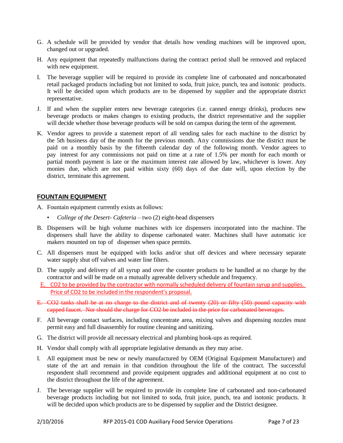- G. A schedule will be provided by vendor that details how vending machines will be improved upon, changed out or upgraded.
- H. Any equipment that repeatedly malfunctions during the contract period shall be removed and replaced with new equipment.
- I. The beverage supplier will be required to provide its complete line of carbonated and noncarbonated retail packaged products including but not limited to soda, fruit juice, punch, tea and isotonic products. It will be decided upon which products are to be dispensed by supplier and the appropriate district representative.
- J. If and when the supplier enters new beverage categories (i.e. canned energy drinks), produces new beverage products or makes changes to existing products, the district representative and the supplier will decide whether those beverage products will be sold on campus during the term of the agreement.
- K. Vendor agrees to provide a statement report of all vending sales for each machine to the district by the 5th business day of the month for the previous month. Any commissions due the district must be paid on a monthly basis by the fifteenth calendar day of the following month. Vendor agrees to pay interest for any commissions not paid on time at a rate of 1.5% per month for each month or partial month payment is late or the maximum interest rate allowed by law, whichever is lower. Any monies due, which are not paid within sixty (60) days of due date will, upon election by the district, terminate this agreement.

# <span id="page-6-0"></span>**FOUNTAIN EQUIPMENT**

- A. Fountain equipment currently exists as follows:
	- *College of the Desert- Cafeteria*  two (2) eight-head dispensers
- B. Dispensers will be high volume machines with ice dispensers incorporated into the machine. The dispensers shall have the ability to dispense carbonated water. Machines shall have automatic ice makers mounted on top of dispenser when space permits.
- C. All dispensers must be equipped with locks and/or shut off devices and where necessary separate water supply shut off valves and water line filters.
- D. The supply and delivery of all syrup and over the counter products to be handled at no charge by the contractor and will be made on a mutually agreeable delivery schedule and frequency.
- E. CO2 to be provided by the contractor with normally scheduled delivery of fountain syrup and supplies. Price of CO2 to be included in the respondent's proposal.
- E. CO2 tanks shall be at no charge to the district and of twenty (20) or fifty (50) pound capacity with capped faucet. Nor should the charge for CO2 be included in the price for carbonated beverages.
- F. All beverage contact surfaces, including concentrate area, mixing valves and dispensing nozzles must permit easy and full disassembly for routine cleaning and sanitizing.
- G. The district will provide all necessary electrical and plumbing hook-ups as required.
- H. Vendor shall comply with all appropriate legislative demands as they may arise.
- I. All equipment must be new or newly manufactured by OEM (Original Equipment Manufacturer) and state of the art and remain in that condition throughout the life of the contract. The successful respondent shall recommend and provide equipment upgrades and additional equipment at no cost to the district throughout the life of the agreement.
- J. The beverage supplier will be required to provide its complete line of carbonated and non-carbonated beverage products including but not limited to soda, fruit juice, punch, tea and isotonic products. It will be decided upon which products are to be dispensed by supplier and the District designee.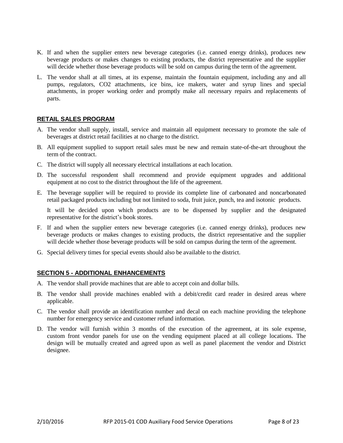- K. If and when the supplier enters new beverage categories (i.e. canned energy drinks), produces new beverage products or makes changes to existing products, the district representative and the supplier will decide whether those beverage products will be sold on campus during the term of the agreement.
- L. The vendor shall at all times, at its expense, maintain the fountain equipment, including any and all pumps, regulators, CO2 attachments, ice bins, ice makers, water and syrup lines and special attachments, in proper working order and promptly make all necessary repairs and replacements of parts.

# <span id="page-7-0"></span>**RETAIL SALES PROGRAM**

- A. The vendor shall supply, install, service and maintain all equipment necessary to promote the sale of beverages at district retail facilities at no charge to the district.
- B. All equipment supplied to support retail sales must be new and remain state-of-the-art throughout the term of the contract.
- C. The district will supply all necessary electrical installations at each location.
- D. The successful respondent shall recommend and provide equipment upgrades and additional equipment at no cost to the district throughout the life of the agreement.
- E. The beverage supplier will be required to provide its complete line of carbonated and noncarbonated retail packaged products including but not limited to soda, fruit juice, punch, tea and isotonic products.

It will be decided upon which products are to be dispensed by supplier and the designated representative for the district's book stores.

- F. If and when the supplier enters new beverage categories (i.e. canned energy drinks), produces new beverage products or makes changes to existing products, the district representative and the supplier will decide whether those beverage products will be sold on campus during the term of the agreement.
- G. Special delivery times for special events should also be available to the district.

# <span id="page-7-1"></span>**SECTION 5 - ADDITIONAL ENHANCEMENTS**

- A. The vendor shall provide machines that are able to accept coin and dollar bills.
- B. The vendor shall provide machines enabled with a debit/credit card reader in desired areas where applicable.
- C. The vendor shall provide an identification number and decal on each machine providing the telephone number for emergency service and customer refund information.
- <span id="page-7-2"></span>D. The vendor will furnish within 3 months of the execution of the agreement, at its sole expense, custom front vendor panels for use on the vending equipment placed at all college locations. The design will be mutually created and agreed upon as well as panel placement the vendor and District designee.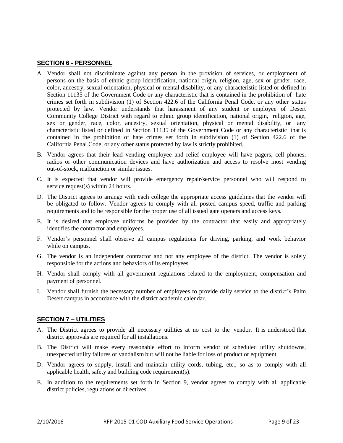# **SECTION 6 - PERSONNEL**

- A. Vendor shall not discriminate against any person in the provision of services, or employment of persons on the basis of ethnic group identification, national origin, religion, age, sex or gender, race, color, ancestry, sexual orientation, physical or mental disability, or any characteristic listed or defined in Section 11135 of the Government Code or any characteristic that is contained in the prohibition of hate crimes set forth in subdivision (1) of Section 422.6 of the California Penal Code, or any other status protected by law. Vendor understands that harassment of any student or employee of Desert Community College District with regard to ethnic group identification, national origin, religion, age, sex or gender, race, color, ancestry, sexual orientation, physical or mental disability, or any characteristic listed or defined in Section 11135 of the Government Code or any characteristic that is contained in the prohibition of hate crimes set forth in subdivision (1) of Section 422.6 of the California Penal Code, or any other status protected by law is strictly prohibited.
- B. Vendor agrees that their lead vending employee and relief employee will have pagers, cell phones, radios or other communication devices and have authorization and access to resolve most vending out-of-stock, malfunction or similar issues.
- C. It is expected that vendor will provide emergency repair/service personnel who will respond to service request(s) within 24 hours.
- D. The District agrees to arrange with each college the appropriate access guidelines that the vendor will be obligated to follow. Vendor agrees to comply with all posted campus speed, traffic and parking requirements and to be responsible for the proper use of all issued gate openers and access keys.
- E. It is desired that employee uniforms be provided by the contractor that easily and appropriately identifies the contractor and employees.
- F. Vendor's personnel shall observe all campus regulations for driving, parking, and work behavior while on campus.
- G. The vendor is an independent contractor and not any employee of the district. The vendor is solely responsible for the actions and behaviors of its employees.
- H. Vendor shall comply with all government regulations related to the employment, compensation and payment of personnel.
- I. Vendor shall furnish the necessary number of employees to provide daily service to the district's Palm Desert campus in accordance with the district academic calendar.

# <span id="page-8-0"></span>**SECTION 7 – UTILITIES**

- A. The District agrees to provide all necessary utilities at no cost to the vendor. It is understood that district approvals are required for all installations.
- B. The District will make every reasonable effort to inform vendor of scheduled utility shutdowns, unexpected utility failures or vandalism but will not be liable for loss of product or equipment.
- D. Vendor agrees to supply, install and maintain utility cords, tubing, etc., so as to comply with all applicable health, safety and building code requirement(s).
- <span id="page-8-1"></span>E. In addition to the requirements set forth in Section 9, vendor agrees to comply with all applicable district policies, regulations or directives.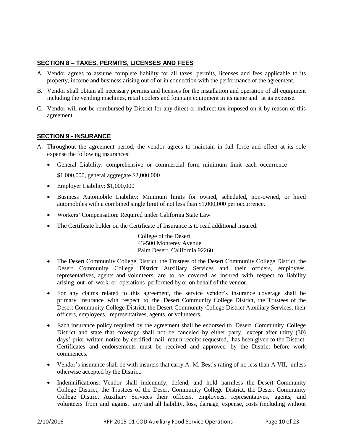# **SECTION 8 – TAXES, PERMITS, LICENSES AND FEES**

- A. Vendor agrees to assume complete liability for all taxes, permits, licenses and fees applicable to its property, income and business arising out of or in connection with the performance of the agreement.
- B. Vendor shall obtain all necessary permits and licenses for the installation and operation of all equipment including the vending machines, retail coolers and fountain equipment in its name and at its expense.
- C. Vendor will not be reimbursed by District for any direct or indirect tax imposed on it by reason of this agreement.

# <span id="page-9-0"></span>**SECTION 9 - INSURANCE**

- A. Throughout the agreement period, the vendor agrees to maintain in full force and effect at its sole expense the following insurances:
	- General Liability: comprehensive or commercial form minimum limit each occurrence \$1,000,000, general aggregate \$2,000,000
	- Employer Liability: \$1,000,000
	- Business Automobile Liability: Minimum limits for owned, scheduled, non-owned, or hired automobiles with a combined single limit of not less than \$1,000,000 per occurrence.
	- Workers' Compensation: Required under California State Law
	- The Certificate holder on the Certificate of Insurance is to read additional insured:

College of the Desert 43-500 Monterey Avenue Palm Desert, California 92260

- The Desert Community College District, the Trustees of the Desert Community College District, the Desert Community College District Auxiliary Services and their officers, employees, representatives, agents and volunteers are to be covered as insured with respect to liability arising out of work or operations performed by or on behalf of the vendor.
- For any claims related to this agreement, the service vendor's insurance coverage shall be primary insurance with respect to the Desert Community College District, the Trustees of the Desert Community College District, the Desert Community College District Auxiliary Services, their officers, employees, representatives, agents, or volunteers.
- Each insurance policy required by the agreement shall be endorsed to Desert Community College District and state that coverage shall not be canceled by either party, except after thirty (30) days' prior written notice by certified mail, return receipt requested, has been given to the District. Certificates and endorsements must be received and approved by the District before work commences.
- Vendor's insurance shall be with insurers that carry A. M. Best's rating of no less than A-VII, unless otherwise accepted by the District.
- Indemnifications: Vendor shall indemnify, defend, and hold harmless the Desert Community College District, the Trustees of the Desert Community College District, the Desert Community College District Auxiliary Services their officers, employees, representatives, agents, and volunteers from and against any and all liability, loss, damage, expense, costs (including without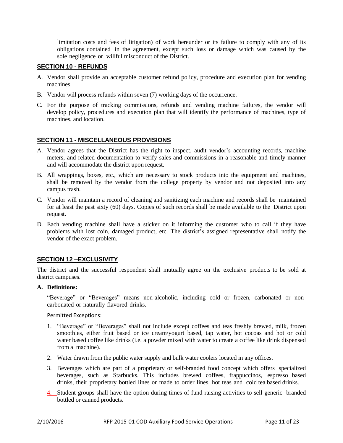limitation costs and fees of litigation) of work hereunder or its failure to comply with any of its obligations contained in the agreement, except such loss or damage which was caused by the sole negligence or willful misconduct of the District.

# <span id="page-10-0"></span>**SECTION 10 - REFUNDS**

- A. Vendor shall provide an acceptable customer refund policy, procedure and execution plan for vending machines.
- B. Vendor will process refunds within seven (7) working days of the occurrence.
- C. For the purpose of tracking commissions, refunds and vending machine failures, the vendor will develop policy, procedures and execution plan that will identify the performance of machines, type of machines, and location.

# <span id="page-10-1"></span>**SECTION 11 - MISCELLANEOUS PROVISIONS**

- A. Vendor agrees that the District has the right to inspect, audit vendor's accounting records, machine meters, and related documentation to verify sales and commissions in a reasonable and timely manner and will accommodate the district upon request.
- B. All wrappings, boxes, etc., which are necessary to stock products into the equipment and machines, shall be removed by the vendor from the college property by vendor and not deposited into any campus trash.
- C. Vendor will maintain a record of cleaning and sanitizing each machine and records shall be maintained for at least the past sixty (60) days. Copies of such records shall be made available to the District upon request.
- D. Each vending machine shall have a sticker on it informing the customer who to call if they have problems with lost coin, damaged product, etc. The district's assigned representative shall notify the vendor of the exact problem.

# <span id="page-10-2"></span>**SECTION 12 –EXCLUSIVITY**

The district and the successful respondent shall mutually agree on the exclusive products to be sold at district campuses.

#### **A. Definitions:**

"Beverage" or "Beverages" means non-alcoholic, including cold or frozen, carbonated or noncarbonated or naturally flavored drinks.

Permitted Exceptions:

- 1. "Beverage" or "Beverages" shall not include except coffees and teas freshly brewed, milk, frozen smoothies, either fruit based or ice cream/yogurt based, tap water, hot cocoas and hot or cold water based coffee like drinks (i.e. a powder mixed with water to create a coffee like drink dispensed from a machine).
- 2. Water drawn from the public water supply and bulk water coolers located in any offices.
- 3. Beverages which are part of a proprietary or self-branded food concept which offers specialized beverages, such as Starbucks. This includes brewed coffees, frappuccinos, espresso based drinks, their proprietary bottled lines or made to order lines, hot teas and cold tea based drinks.
- 4. Student groups shall have the option during times of fund raising activities to sell generic branded bottled or canned products.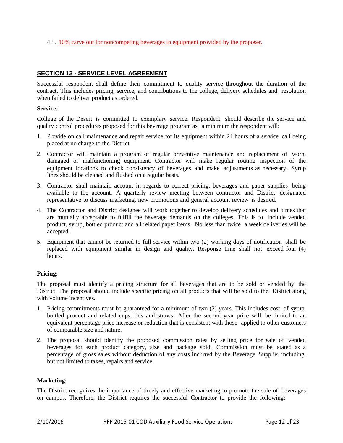<span id="page-11-0"></span>4.5. 10% carve out for noncompeting beverages in equipment provided by the proposer.

# **SECTION 13 - SERVICE LEVEL AGREEMENT**

Successful respondent shall define their commitment to quality service throughout the duration of the contract. This includes pricing, service, and contributions to the college, delivery schedules and resolution when failed to deliver product as ordered.

#### **Service**:

College of the Desert is committed to exemplary service. Respondent should describe the service and quality control procedures proposed for this beverage program as a minimum the respondent will:

- 1. Provide on call maintenance and repair service for its equipment within 24 hours of a service call being placed at no charge to the District.
- 2. Contractor will maintain a program of regular preventive maintenance and replacement of worn, damaged or malfunctioning equipment. Contractor will make regular routine inspection of the equipment locations to check consistency of beverages and make adjustments as necessary. Syrup lines should be cleaned and flushed on a regular basis.
- 3. Contractor shall maintain account in regards to correct pricing, beverages and paper supplies being available to the account. A quarterly review meeting between contractor and District designated representative to discuss marketing, new promotions and general account review is desired.
- 4. The Contractor and District designee will work together to develop delivery schedules and times that are mutually acceptable to fulfill the beverage demands on the colleges. This is to include vended product, syrup, bottled product and all related paper items. No less than twice a week deliveries will be accepted.
- 5. Equipment that cannot be returned to full service within two (2) working days of notification shall be replaced with equipment similar in design and quality. Response time shall not exceed four (4) hours.

# **Pricing:**

The proposal must identify a pricing structure for all beverages that are to be sold or vended by the District. The proposal should include specific pricing on all products that will be sold to the District along with volume incentives.

- 1. Pricing commitments must be guaranteed for a minimum of two (2) years. This includes cost of syrup, bottled product and related cups, lids and straws. After the second year price will be limited to an equivalent percentage price increase or reduction that is consistent with those applied to other customers of comparable size and nature.
- 2. The proposal should identify the proposed commission rates by selling price for sale of vended beverages for each product category, size and package sold. Commission must be stated as a percentage of gross sales without deduction of any costs incurred by the Beverage Supplier including, but not limited to taxes, repairs and service.

# **Marketing:**

The District recognizes the importance of timely and effective marketing to promote the sale of beverages on campus. Therefore, the District requires the successful Contractor to provide the following: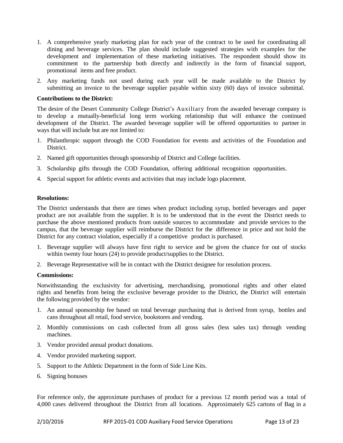- 1. A comprehensive yearly marketing plan for each year of the contract to be used for coordinating all dining and beverage services. The plan should include suggested strategies with examples for the development and implementation of these marketing initiatives. The respondent should show its commitment to the partnership both directly and indirectly in the form of financial support, promotional items and free product.
- 2. Any marketing funds not used during each year will be made available to the District by submitting an invoice to the beverage supplier payable within sixty (60) days of invoice submittal.

#### **Contributions to the District:**

The desire of the Desert Community College District's Auxiliary from the awarded beverage company is to develop a mutually-beneficial long term working relationship that will enhance the continued development of the District. The awarded beverage supplier will be offered opportunities to partner in ways that will include but are not limited to:

- 1. Philanthropic support through the COD Foundation for events and activities of the Foundation and District.
- 2. Named gift opportunities through sponsorship of District and College facilities.
- 3. Scholarship gifts through the COD Foundation, offering additional recognition opportunities.
- 4. Special support for athletic events and activities that may include logo placement.

#### **Resolutions:**

The District understands that there are times when product including syrup, bottled beverages and paper product are not available from the supplier. It is to be understood that in the event the District needs to purchase the above mentioned products from outside sources to accommodate and provide services to the campus, that the beverage supplier will reimburse the District for the difference in price and not hold the District for any contract violation, especially if a competitive product is purchased.

- 1. Beverage supplier will always have first right to service and be given the chance for out of stocks within twenty four hours (24) to provide product/supplies to the District.
- 2. Beverage Representative will be in contact with the District designee for resolution process.

#### **Commissions:**

Notwithstanding the exclusivity for advertising, merchandising, promotional rights and other elated rights and benefits from being the exclusive beverage provider to the District, the District will entertain the following provided by the vendor:

- 1. An annual sponsorship fee based on total beverage purchasing that is derived from syrup, bottles and cans throughout all retail, food service, bookstores and vending.
- 2. Monthly commissions on cash collected from all gross sales (less sales tax) through vending machines.
- 3. Vendor provided annual product donations.
- 4. Vendor provided marketing support.
- 5. Support to the Athletic Department in the form of Side Line Kits.
- 6. Signing bonuses

For reference only, the approximate purchases of product for a previous 12 month period was a total of 4,000 cases delivered throughout the District from all locations. Approximately 625 cartons of Bag in a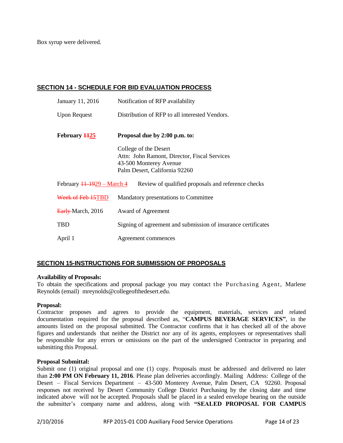Box syrup were delivered.

# **SECTION 14 - SCHEDULE FOR BID EVALUATION PROCESS**

| January 11, 2016                           | Notification of RFP availability                                                                                                 |
|--------------------------------------------|----------------------------------------------------------------------------------------------------------------------------------|
| <b>Upon Request</b>                        | Distribution of RFP to all interested Vendors.                                                                                   |
| February 1125                              | Proposal due by 2:00 p.m. to:                                                                                                    |
|                                            | College of the Desert<br>Attn: John Ramont, Director, Fiscal Services<br>43-500 Monterey Avenue<br>Palm Desert, California 92260 |
| February $11-1929$ – March 4               | Review of qualified proposals and reference checks                                                                               |
| Week of Feb 15TBD                          | Mandatory presentations to Committee                                                                                             |
| $\frac{\text{Early}}{\text{March}}$ , 2016 | Award of Agreement                                                                                                               |
| <b>TBD</b>                                 | Signing of agreement and submission of insurance certificates                                                                    |
| April 1                                    | Agreement commences                                                                                                              |

# <span id="page-13-0"></span>**SECTION 15-INSTRUCTIONS FOR SUBMISSION OF PROPOSALS**

#### **Availability of Proposals:**

To obtain the specifications and proposal package you may contact the Purchasing Agent, Marlene Reynolds (email[\)](mailto:majd.askar@rccd.edu) mreynolds@collegeofthedesert.edu.

# **Proposal:**

Contractor proposes and agrees to provide the equipment, materials, services and related documentation required for the proposal described as, "**CAMPUS BEVERAGE SERVICES"**, in the amounts listed on the proposal submitted. The Contractor confirms that it has checked all of the above figures and understands that neither the District nor any of its agents, employees or representatives shall be responsible for any errors or omissions on the part of the undersigned Contractor in preparing and submitting this Proposal.

# **Proposal Submittal:**

Submit one (1) original proposal and one (1) copy. Proposals must be addressed and delivered no later than **2:00 PM ON February 11, 2016**. Please plan deliveries accordingly. Mailing Address: College of the Desert – Fiscal Services Department – 43-500 Monterey Avenue, Palm Desert, CA 92260. Proposal responses not received by Desert Community College District Purchasing by the closing date and time indicated above will not be accepted. Proposals shall be placed in a sealed envelope bearing on the outside the submitter's company name and address, along with **"SEALED PROPOSAL FOR CAMPUS**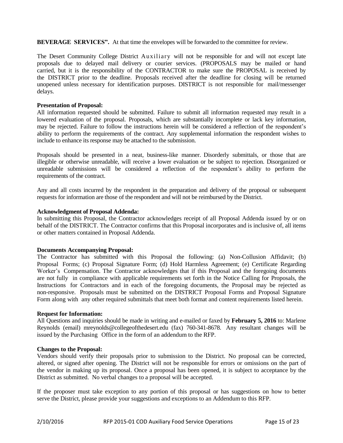**BEVERAGE SERVICES".** At that time the envelopes will be forwarded to the committee for review.

The Desert Community College District Auxiliary will not be responsible for and will not except late proposals due to delayed mail delivery or courier services. (PROPOSALS may be mailed or hand carried, but it is the responsibility of the CONTRACTOR to make sure the PROPOSAL is received by the DISTRICT prior to the deadline. Proposals received after the deadline for closing will be returned unopened unless necessary for identification purposes. DISTRICT is not responsible for mail/messenger delays.

#### **Presentation of Proposal:**

All information requested should be submitted. Failure to submit all information requested may result in a lowered evaluation of the proposal. Proposals, which are substantially incomplete or lack key information, may be rejected. Failure to follow the instructions herein will be considered a reflection of the respondent's ability to perform the requirements of the contract. Any supplemental information the respondent wishes to include to enhance its response may be attached to the submission.

Proposals should be presented in a neat, business-like manner. Disorderly submittals, or those that are illegible or otherwise unreadable, will receive a lower evaluation or be subject to rejection. Disorganized or unreadable submissions will be considered a reflection of the respondent's ability to perform the requirements of the contract.

Any and all costs incurred by the respondent in the preparation and delivery of the proposal or subsequent requests for information are those of the respondent and will not be reimbursed by the District.

#### **Acknowledgment of Proposal Addenda:**

In submitting this Proposal, the Contractor acknowledges receipt of all Proposal Addenda issued by or on behalf of the DISTRICT. The Contractor confirms that this Proposal incorporates and is inclusive of, all items or other matters contained in Proposal Addenda.

#### **Documents Accompanying Proposal:**

The Contractor has submitted with this Proposal the following: (a) Non-Collusion Affidavit; (b) Proposal Forms; (c) Proposal Signature Form; (d) Hold Harmless Agreement; (e) Certificate Regarding Worker's Compensation. The Contractor acknowledges that if this Proposal and the foregoing documents are not fully in compliance with applicable requirements set forth in the Notice Calling for Proposals, the Instructions for Contractors and in each of the foregoing documents, the Proposal may be rejected as non-responsive. Proposals must be submitted on the DISTRICT Proposal Forms and Proposal Signature Form along with any other required submittals that meet both format and content requirements listed herein.

# **Request for Information:**

All Questions and inquiries should be made in writing and e-mailed or faxed by **February 5, 2016** to: Marlene Reynolds (email) mreynolds@collegeofthedesert.edu (fax) 760-341-8678. Any resultant changes will be issued by the Purchasing Office in the form of an addendum to the RFP.

#### **Changes to the Proposal:**

Vendors should verify their proposals prior to submission to the District. No proposal can be corrected, altered, or signed after opening. The District will not be responsible for errors or omissions on the part of the vendor in making up its proposal. Once a proposal has been opened, it is subject to acceptance by the District as submitted. No verbal changes to a proposal will be accepted.

If the proposer must take exception to any portion of this proposal or has suggestions on how to better serve the District, please provide your suggestions and exceptions to an Addendum to this RFP.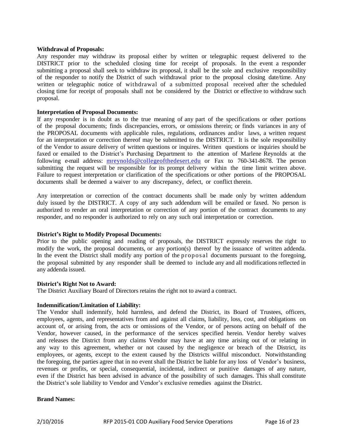#### **Withdrawal of Proposals:**

Any responder may withdraw its proposal either by written or telegraphic request delivered to the DISTRICT prior to the scheduled closing time for receipt of proposals. In the event a responder submitting a proposal shall seek to withdraw its proposal, it shall be the sole and exclusive responsibility of the responder to notify the District of such withdrawal prior to the proposal closing date/time. Any written or telegraphic notice of withdrawal of a submitted proposal received after the scheduled closing time for receipt of proposals shall not be considered by the District or effective to withdraw such proposal.

#### **Interpretation of Proposal Documents:**

If any responder is in doubt as to the true meaning of any part of the specifications or other portions of the proposal documents; finds discrepancies, errors, or omissions therein; or finds variances in any of the PROPOSAL documents with applicable rules, regulations, ordinances and/or laws, a written request for an interpretation or correction thereof may be submitted to the DISTRICT. It is the sole responsibility of the Vendor to assure delivery of written questions or inquires. Written questions or inquiries should be faxed or emailed to the District's Purchasing Department to the attention of Marlene Reynolds at the following e-mail address: [mreynolds@collegeofthedesert.edu](mailto:mreynolds@collegeofthedesert.edu) or Fax to 760-341-8678. The person submitting the request will be responsible for its prompt delivery within the time limit written above. Failure to request interpretation or clarification of the specifications or other portions of the PROPOSAL documents shall be deemed a waiver to any discrepancy, defect, or conflict therein.

Any interpretation or correction of the contract documents shall be made only by written addendum duly issued by the DISTRICT. A copy of any such addendum will be emailed or faxed. No person is authorized to render an oral interpretation or correction of any portion of the contract documents to any responder, and no responder is authorized to rely on any such oral interpretation or correction.

# **District's Right to Modify Proposal Documents:**

Prior to the public opening and reading of proposals, the DISTRICT expressly reserves the right to modify the work, the proposal documents, or any portion(s) thereof by the issuance of written addenda. In the event the District shall modify any portion of the proposal documents pursuant to the foregoing, the proposal submitted by any responder shall be deemed to include any and all modificationsreflected in any addenda issued.

# **District's Right Not to Award:**

The District Auxiliary Board of Directors retains the right not to award a contract.

# **Indemnification/Limitation of Liability:**

The Vendor shall indemnify, hold harmless, and defend the District, its Board of Trustees, officers, employees, agents, and representatives from and against all claims, liability, loss, cost, and obligations on account of, or arising from, the acts or omissions of the Vendor, or of persons acting on behalf of the Vendor, however caused, in the performance of the services specified herein. Vendor hereby waives and releases the District from any claims Vendor may have at any time arising out of or relating in any way to this agreement, whether or not caused by the negligence or breach of the District, its employees, or agents, except to the extent caused by the Districts willful misconduct. Notwithstanding the foregoing, the parties agree that in no event shall the District be liable for any loss of Vendor's business, revenues or profits, or special, consequential, incidental, indirect or punitive damages of any nature, even if the District has been advised in advance of the possibility of such damages. This shall constitute the District's sole liability to Vendor and Vendor's exclusive remedies against the District.

#### **Brand Names:**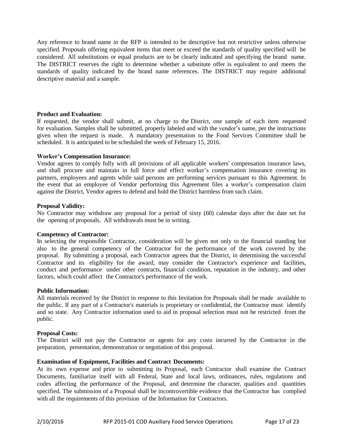Any reference to brand name in the RFP is intended to be descriptive but not restrictive unless otherwise specified. Proposals offering equivalent items that meet or exceed the standards of quality specified will be considered. All substitutions or equal products are to be clearly indicated and specifying the brand name. The DISTRICT reserves the right to determine whether a substitute offer is equivalent to and meets the standards of quality indicated by the brand name references. The DISTRICT may require additional descriptive material and a sample.

#### **Product and Evaluation:**

If requested, the vendor shall submit, at no charge to the District, one sample of each item requested for evaluation. Samples shall be submitted, properly labeled and with the vendor's name, per the instructions given when the request is made. A mandatory presentation to the Food Services Committee shall be scheduled. It is anticipated to be scheduled the week of February 15, 2016.

#### **Worker's Compensation Insurance:**

Vendor agrees to comply fully with all provisions of all applicable workers' compensation insurance laws, and shall procure and maintain in full force and effect worker's compensation insurance covering its partners, employees and agents while said persons are performing services pursuant to this Agreement. In the event that an employee of Vendor performing this Agreement files a worker's compensation claim against the District, Vendor agrees to defend and hold the District harmless from such claim.

#### **Proposal Validity:**

No Contractor may withdraw any proposal for a period of sixty (60) calendar days after the date set for the opening of proposals. All withdrawals must be in writing.

#### **Competency of Contractor:**

In selecting the responsible Contractor, consideration will be given not only to the financial standing but also to the general competency of the Contractor for the performance of the work covered by the proposal. By submitting a proposal, each Contractor agrees that the District, in determining the successful Contractor and its eligibility for the award, may consider the Contractor's experience and facilities, conduct and performance under other contracts, financial condition, reputation in the industry, and other factors, which could affect the Contractor's performance of the work.

#### **Public Information:**

All materials received by the District in response to this Invitation for Proposals shall be made available to the public. If any part of a Contractor's materials is proprietary or confidential, the Contractor must identify and so state. Any Contractor information used to aid in proposal selection must not be restricted from the public.

#### **Proposal Costs:**

The District will not pay the Contractor or agents for any costs incurred by the Contractor in the preparation, presentation, demonstration or negotiation of this proposal.

# **Examination of Equipment, Facilities and Contract Documents:**

At its own expense and prior to submitting its Proposal, each Contractor shall examine the Contract Documents, familiarize itself with all Federal, State and local laws, ordinances, rules, regulations and codes affecting the performance of the Proposal, and determine the character, qualities and quantities specified. The submission of a Proposal shall be incontrovertible evidence that the Contractor has complied with all the requirements of this provision of the Information for Contractors.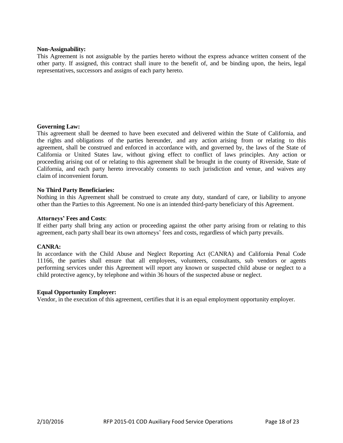#### **Non-Assignability:**

This Agreement is not assignable by the parties hereto without the express advance written consent of the other party. If assigned, this contract shall inure to the benefit of, and be binding upon, the heirs, legal representatives, successors and assigns of each party hereto.

#### **Governing Law:**

This agreement shall be deemed to have been executed and delivered within the State of California, and the rights and obligations of the parties hereunder, and any action arising from or relating to this agreement, shall be construed and enforced in accordance with, and governed by, the laws of the State of California or United States law, without giving effect to conflict of laws principles. Any action or proceeding arising out of or relating to this agreement shall be brought in the county of Riverside, State of California, and each party hereto irrevocably consents to such jurisdiction and venue, and waives any claim of inconvenient forum.

#### **No Third Party Beneficiaries:**

Nothing in this Agreement shall be construed to create any duty, standard of care, or liability to anyone other than the Parties to this Agreement. No one is an intended third-party beneficiary of this Agreement.

#### **Attorneys' Fees and Costs**:

If either party shall bring any action or proceeding against the other party arising from or relating to this agreement, each party shall bear its own attorneys' fees and costs, regardless of which party prevails.

#### **CANRA:**

In accordance with the Child Abuse and Neglect Reporting Act (CANRA) and California Penal Code 11166, the parties shall ensure that all employees, volunteers, consultants, sub vendors or agents performing services under this Agreement will report any known or suspected child abuse or neglect to a child protective agency, by telephone and within 36 hours of the suspected abuse or neglect.

#### **Equal Opportunity Employer:**

Vendor, in the execution of this agreement, certifies that it is an equal employment opportunity employer.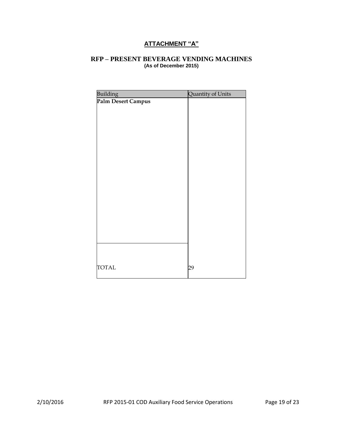# **ATTACHMENT "A"**

# <span id="page-18-0"></span>**RFP – PRESENT BEVERAGE VENDING MACHINES (As of December 2015)**

| <b>Building</b>    | Quantity of Units |
|--------------------|-------------------|
| Palm Desert Campus |                   |
|                    |                   |
|                    |                   |
|                    |                   |
|                    |                   |
|                    |                   |
|                    |                   |
|                    |                   |
|                    |                   |
|                    |                   |
|                    |                   |
|                    |                   |
|                    |                   |
|                    |                   |
|                    |                   |
|                    |                   |
|                    |                   |
|                    |                   |
|                    |                   |
| <b>TOTAL</b>       | 29                |
|                    |                   |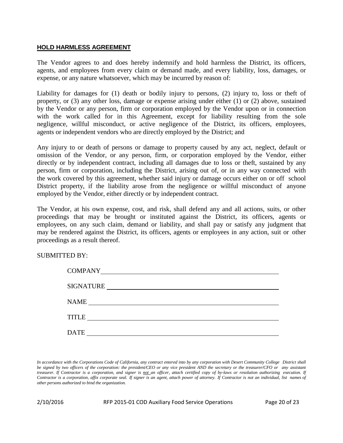# <span id="page-19-0"></span>**HOLD HARMLESS AGREEMENT**

The Vendor agrees to and does hereby indemnify and hold harmless the District, its officers, agents, and employees from every claim or demand made, and every liability, loss, damages, or expense, or any nature whatsoever, which may be incurred by reason of:

Liability for damages for (1) death or bodily injury to persons, (2) injury to, loss or theft of property, or (3) any other loss, damage or expense arising under either (1) or (2) above, sustained by the Vendor or any person, firm or corporation employed by the Vendor upon or in connection with the work called for in this Agreement, except for liability resulting from the sole negligence, willful misconduct, or active negligence of the District, its officers, employees, agents or independent vendors who are directly employed by the District; and

Any injury to or death of persons or damage to property caused by any act, neglect, default or omission of the Vendor, or any person, firm, or corporation employed by the Vendor, either directly or by independent contract, including all damages due to loss or theft, sustained by any person, firm or corporation, including the District, arising out of, or in any way connected with the work covered by this agreement, whether said injury or damage occurs either on or off school District property, if the liability arose from the negligence or willful misconduct of anyone employed by the Vendor, either directly or by independent contract.

The Vendor, at his own expense, cost, and risk, shall defend any and all actions, suits, or other proceedings that may be brought or instituted against the District, its officers, agents or employees, on any such claim, demand or liability, and shall pay or satisfy any judgment that may be rendered against the District, its officers, agents or employees in any action, suit or other proceedings as a result thereof.

SUBMITTED BY:

| <b>COMPANY</b>                                                                                                                       |
|--------------------------------------------------------------------------------------------------------------------------------------|
| SIGNATURE                                                                                                                            |
| <b>NAME</b>                                                                                                                          |
| <b>TITLE</b><br><u> 1980 - Jan Stein Stein Stein Stein Stein Stein Stein Stein Stein Stein Stein Stein Stein Stein Stein Stein S</u> |
| <b>DATE</b>                                                                                                                          |

In accordance with the Corporations Code of California, any contract entered into by any corporation with Desert Community College District shall be signed by two officers of the corporation: the president/CEO or any vice president AND the secretary or the treasurer/CFO or any assistant treasurer. If Contractor is a corporation, and signer is not an officer, attach certified copy of by-laws or resolution authorizing execution. If Contractor is a corporation, affix corporate seal. If signer is an agent, attach power of attorney. If Contractor is not an individual, list names of *other persons authorized to bind the organization.*

2/10/2016 RFP 2015-01 COD Auxiliary Food Service Operations Page 20 of 23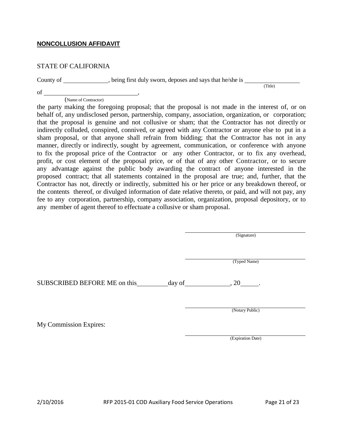# <span id="page-20-0"></span>**NONCOLLUSION AFFIDAVIT**

# STATE OF CALIFORNIA

County of \_\_\_\_\_\_\_\_\_\_, being first duly sworn, deposes and says that he/she is \_\_\_

(Title)

of , (Name of Contractor)

the party making the foregoing proposal; that the proposal is not made in the interest of, or on behalf of, any undisclosed person, partnership, company, association, organization, or corporation; that the proposal is genuine and not collusive or sham; that the Contractor has not directly or indirectly colluded, conspired, connived, or agreed with any Contractor or anyone else to put in a sham proposal, or that anyone shall refrain from bidding; that the Contractor has not in any manner, directly or indirectly, sought by agreement, communication, or conference with anyone to fix the proposal price of the Contractor or any other Contractor, or to fix any overhead, profit, or cost element of the proposal price, or of that of any other Contractor, or to secure any advantage against the public body awarding the contract of anyone interested in the proposed contract; that all statements contained in the proposal are true; and, further, that the Contractor has not, directly or indirectly, submitted his or her price or any breakdown thereof, or the contents thereof, or divulged information of date relative thereto, or paid, and will not pay, any fee to any corporation, partnership, company association, organization, proposal depository, or to any member of agent thereof to effectuate a collusive or sham proposal.

(Signature)

(Typed Name)

SUBSCRIBED BEFORE ME on this day of  $\qquad \qquad$  , 20 .

(Notary Public)

My Commission Expires:

(Expiration Date)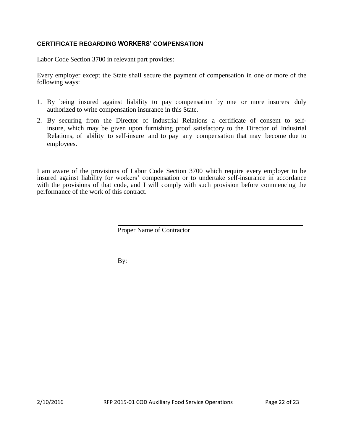# <span id="page-21-0"></span>**CERTIFICATE REGARDING WORKERS' COMPENSATION**

Labor Code Section 3700 in relevant part provides:

Every employer except the State shall secure the payment of compensation in one or more of the following ways:

- 1. By being insured against liability to pay compensation by one or more insurers duly authorized to write compensation insurance in this State.
- 2. By securing from the Director of Industrial Relations a certificate of consent to selfinsure, which may be given upon furnishing proof satisfactory to the Director of Industrial Relations, of ability to self-insure and to pay any compensation that may become due to employees.

I am aware of the provisions of Labor Code Section 3700 which require every employer to be insured against liability for workers' compensation or to undertake self-insurance in accordance with the provisions of that code, and I will comply with such provision before commencing the performance of the work of this contract.

Proper Name of Contractor

By: